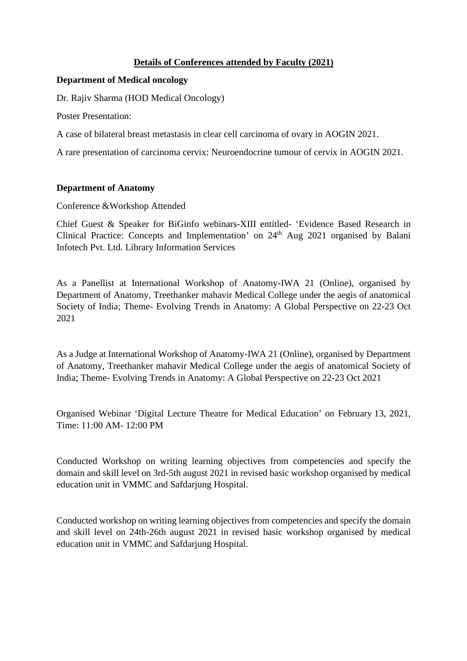# **Details of Conferences attended by Faculty (2021)**

## **Department of Medical oncology**

Dr. Rajiv Sharma (HOD Medical Oncology)

Poster Presentation:

A case of bilateral breast metastasis in clear cell carcinoma of ovary in AOGIN 2021.

A rare presentation of carcinoma cervix: Neuroendocrine tumour of cervix in AOGIN 2021.

### **Department of Anatomy**

Conference &Workshop Attended

Chief Guest & Speaker for BiGinfo webinars-XIII entitled- 'Evidence Based Research in Clinical Practice: Concepts and Implementation' on 24<sup>th</sup> Aug 2021 organised by Balani Infotech Pvt. Ltd. Library Information Services

As a Panellist at International Workshop of Anatomy-IWA 21 (Online), organised by Department of Anatomy, Treethanker mahavir Medical College under the aegis of anatomical Society of India; Theme- Evolving Trends in Anatomy: A Global Perspective on 22-23 Oct 2021

As a Judge at International Workshop of Anatomy-IWA 21 (Online), organised by Department of Anatomy, Treethanker mahavir Medical College under the aegis of anatomical Society of India; Theme- Evolving Trends in Anatomy: A Global Perspective on 22-23 Oct 2021

Organised Webinar 'Digital Lecture Theatre for Medical Education' on February 13, 2021, Time: 11:00 AM- 12:00 PM

Conducted Workshop on writing learning objectives from competencies and specify the domain and skill level on 3rd-5th august 2021 in revised basic workshop organised by medical education unit in VMMC and Safdarjung Hospital.

Conducted workshop on writing learning objectives from competencies and specify the domain and skill level on 24th-26th august 2021 in revised basic workshop organised by medical education unit in VMMC and Safdarjung Hospital.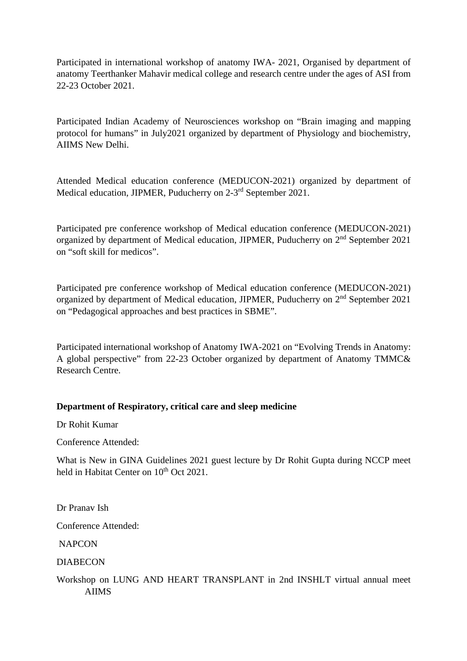Participated in international workshop of anatomy IWA- 2021, Organised by department of anatomy Teerthanker Mahavir medical college and research centre under the ages of ASI from 22-23 October 2021.

Participated Indian Academy of Neurosciences workshop on "Brain imaging and mapping protocol for humans" in July2021 organized by department of Physiology and biochemistry, AIIMS New Delhi.

Attended Medical education conference (MEDUCON-2021) organized by department of Medical education, JIPMER, Puducherry on 2-3rd September 2021.

Participated pre conference workshop of Medical education conference (MEDUCON-2021) organized by department of Medical education, JIPMER, Puducherry on 2nd September 2021 on "soft skill for medicos".

Participated pre conference workshop of Medical education conference (MEDUCON-2021) organized by department of Medical education, JIPMER, Puducherry on 2nd September 2021 on "Pedagogical approaches and best practices in SBME".

Participated international workshop of Anatomy IWA-2021 on "Evolving Trends in Anatomy: A global perspective" from 22-23 October organized by department of Anatomy TMMC& Research Centre.

## **Department of Respiratory, critical care and sleep medicine**

Dr Rohit Kumar

Conference Attended:

What is New in GINA Guidelines 2021 guest lecture by Dr Rohit Gupta during NCCP meet held in Habitat Center on 10<sup>th</sup> Oct 2021.

Dr Pranav Ish

Conference Attended:

**NAPCON** 

DIABECON

Workshop on LUNG AND HEART TRANSPLANT in 2nd INSHLT virtual annual meet AIIMS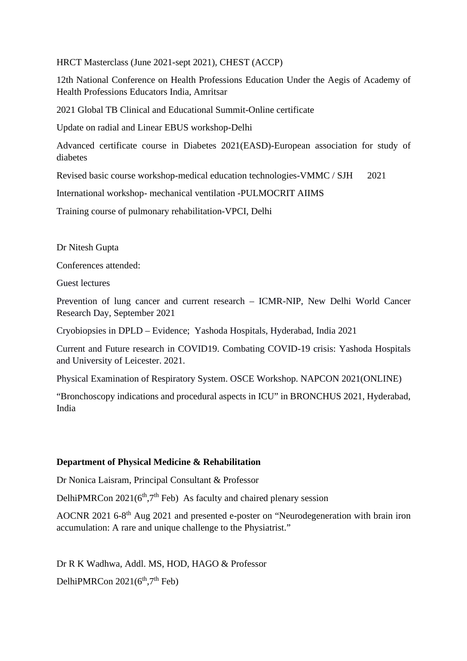HRCT Masterclass (June 2021-sept 2021), CHEST (ACCP)

12th National Conference on Health Professions Education Under the Aegis of Academy of Health Professions Educators India, Amritsar

2021 Global TB Clinical and Educational Summit-Online certificate

Update on radial and Linear EBUS workshop-Delhi

Advanced certificate course in Diabetes 2021(EASD)-European association for study of diabetes

Revised basic course workshop-medical education technologies-VMMC / SJH 2021

International workshop- mechanical ventilation -PULMOCRIT AIIMS

Training course of pulmonary rehabilitation-VPCI, Delhi

Dr Nitesh Gupta

Conferences attended:

Guest lectures

Prevention of lung cancer and current research – ICMR-NIP, New Delhi World Cancer Research Day, September 2021

Cryobiopsies in DPLD – Evidence; Yashoda Hospitals, Hyderabad, India 2021

Current and Future research in COVID19. Combating COVID-19 crisis: Yashoda Hospitals and University of Leicester. 2021.

Physical Examination of Respiratory System. OSCE Workshop. NAPCON 2021(ONLINE)

"Bronchoscopy indications and procedural aspects in ICU" in BRONCHUS 2021, Hyderabad, India

## **Department of Physical Medicine & Rehabilitation**

Dr Nonica Laisram, Principal Consultant & Professor

DelhiPMRCon  $2021(6<sup>th</sup>,7<sup>th</sup>$  Feb) As faculty and chaired plenary session

AOCNR 2021 6-8th Aug 2021 and presented e-poster on "Neurodegeneration with brain iron accumulation: A rare and unique challenge to the Physiatrist."

Dr R K Wadhwa, Addl. MS, HOD, HAGO & Professor DelhiPMRCon  $2021(6<sup>th</sup>,7<sup>th</sup>$  Feb)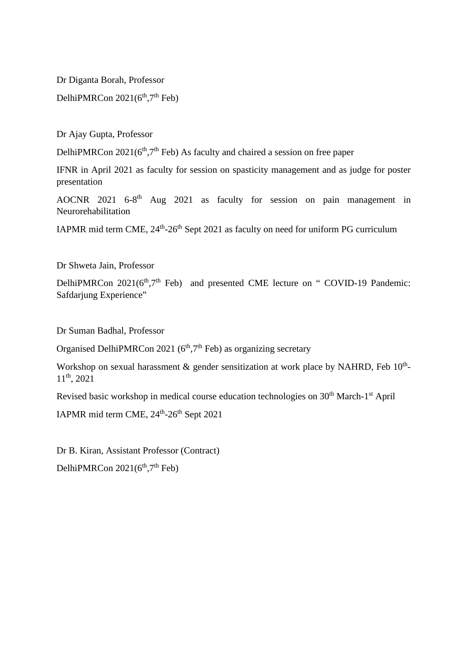Dr Diganta Borah, Professor

DelhiPMRCon  $2021(6<sup>th</sup>,7<sup>th</sup>$  Feb)

Dr Ajay Gupta, Professor

DelhiPMRCon  $2021(6<sup>th</sup>,7<sup>th</sup>$  Feb) As faculty and chaired a session on free paper

IFNR in April 2021 as faculty for session on spasticity management and as judge for poster presentation

AOCNR 2021 6-8<sup>th</sup> Aug 2021 as faculty for session on pain management in Neurorehabilitation

IAPMR mid term CME,  $24<sup>th</sup> - 26<sup>th</sup>$  Sept 2021 as faculty on need for uniform PG curriculum

Dr Shweta Jain, Professor

DelhiPMRCon 2021(6<sup>th</sup>,7<sup>th</sup> Feb) and presented CME lecture on " COVID-19 Pandemic: Safdarjung Experience"

Dr Suman Badhal, Professor

Organised DelhiPMRCon 2021 ( $6<sup>th</sup>$ ,  $7<sup>th</sup>$  Feb) as organizing secretary

Workshop on sexual harassment & gender sensitization at work place by NAHRD, Feb  $10^{th}$ -11th, 2021

Revised basic workshop in medical course education technologies on 30<sup>th</sup> March-1<sup>st</sup> April

IAPMR mid term CME, 24<sup>th</sup>-26<sup>th</sup> Sept 2021

Dr B. Kiran, Assistant Professor (Contract) DelhiPMRCon  $2021(6<sup>th</sup>,7<sup>th</sup>$  Feb)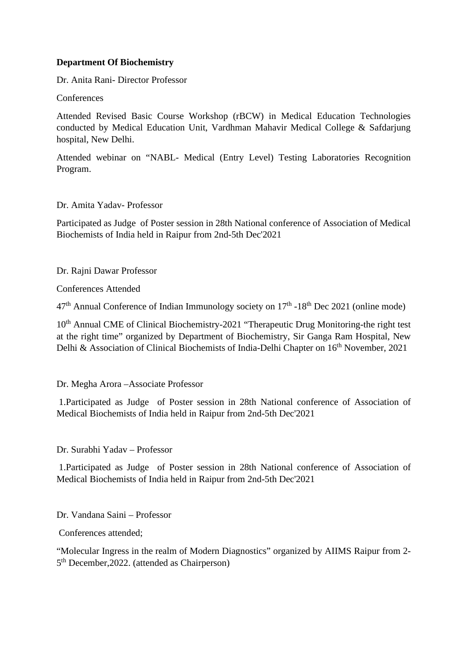### **Department Of Biochemistry**

Dr. Anita Rani- Director Professor

**Conferences** 

Attended Revised Basic Course Workshop (rBCW) in Medical Education Technologies conducted by Medical Education Unit, Vardhman Mahavir Medical College & Safdarjung hospital, New Delhi.

Attended webinar on "NABL- Medical (Entry Level) Testing Laboratories Recognition Program.

Dr. Amita Yadav- Professor

Participated as Judge of Poster session in 28th National conference of Association of Medical Biochemists of India held in Raipur from 2nd-5th Dec'2021

Dr. Rajni Dawar Professor

Conferences Attended

 $47<sup>th</sup>$  Annual Conference of Indian Immunology society on  $17<sup>th</sup>$  -18<sup>th</sup> Dec 2021 (online mode)

10<sup>th</sup> Annual CME of Clinical Biochemistry-2021 "Therapeutic Drug Monitoring-the right test at the right time" organized by Department of Biochemistry, Sir Ganga Ram Hospital, New Delhi & Association of Clinical Biochemists of India-Delhi Chapter on 16<sup>th</sup> November, 2021

Dr. Megha Arora –Associate Professor

1.Participated as Judge of Poster session in 28th National conference of Association of Medical Biochemists of India held in Raipur from 2nd-5th Dec'2021

Dr. Surabhi Yadav – Professor

1.Participated as Judge of Poster session in 28th National conference of Association of Medical Biochemists of India held in Raipur from 2nd-5th Dec'2021

Dr. Vandana Saini – Professor

Conferences attended;

"Molecular Ingress in the realm of Modern Diagnostics" organized by AIIMS Raipur from 2- 5<sup>th</sup> December, 2022. (attended as Chairperson)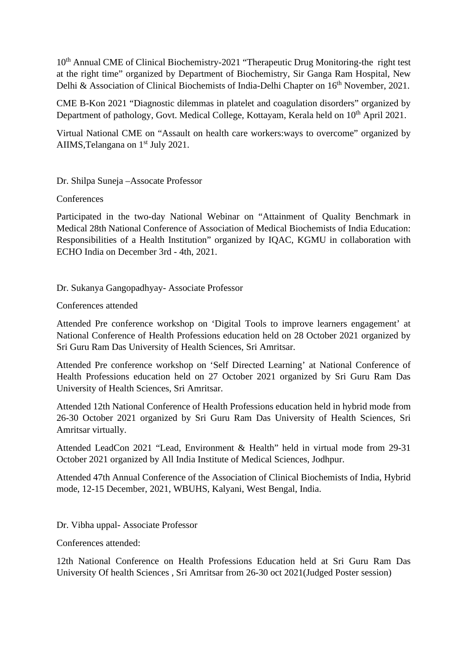10<sup>th</sup> Annual CME of Clinical Biochemistry-2021 "Therapeutic Drug Monitoring-the right test at the right time" organized by Department of Biochemistry, Sir Ganga Ram Hospital, New Delhi & Association of Clinical Biochemists of India-Delhi Chapter on 16<sup>th</sup> November, 2021.

CME B-Kon 2021 "Diagnostic dilemmas in platelet and coagulation disorders" organized by Department of pathology, Govt. Medical College, Kottayam, Kerala held on 10<sup>th</sup> April 2021.

Virtual National CME on "Assault on health care workers:ways to overcome" organized by AIIMS, Telangana on 1<sup>st</sup> July 2021.

Dr. Shilpa Suneja –Assocate Professor

**Conferences** 

Participated in the two-day National Webinar on "Attainment of Quality Benchmark in Medical 28th National Conference of Association of Medical Biochemists of India Education: Responsibilities of a Health Institution" organized by IQAC, KGMU in collaboration with ECHO India on December 3rd - 4th, 2021.

Dr. Sukanya Gangopadhyay- Associate Professor

#### Conferences attended

Attended Pre conference workshop on 'Digital Tools to improve learners engagement' at National Conference of Health Professions education held on 28 October 2021 organized by Sri Guru Ram Das University of Health Sciences, Sri Amritsar.

Attended Pre conference workshop on 'Self Directed Learning' at National Conference of Health Professions education held on 27 October 2021 organized by Sri Guru Ram Das University of Health Sciences, Sri Amritsar.

Attended 12th National Conference of Health Professions education held in hybrid mode from 26-30 October 2021 organized by Sri Guru Ram Das University of Health Sciences, Sri Amritsar virtually.

Attended LeadCon 2021 "Lead, Environment & Health" held in virtual mode from 29-31 October 2021 organized by All India Institute of Medical Sciences, Jodhpur.

Attended 47th Annual Conference of the Association of Clinical Biochemists of India, Hybrid mode, 12-15 December, 2021, WBUHS, Kalyani, West Bengal, India.

Dr. Vibha uppal- Associate Professor

Conferences attended:

12th National Conference on Health Professions Education held at Sri Guru Ram Das University Of health Sciences , Sri Amritsar from 26-30 oct 2021(Judged Poster session)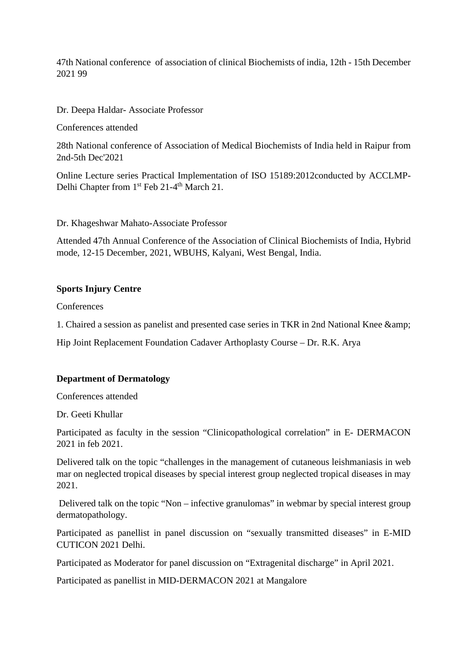47th National conference of association of clinical Biochemists of india, 12th - 15th December 2021 99

Dr. Deepa Haldar- Associate Professor

Conferences attended

28th National conference of Association of Medical Biochemists of India held in Raipur from 2nd-5th Dec'2021

Online Lecture series Practical Implementation of ISO 15189:2012conducted by ACCLMP-Delhi Chapter from 1<sup>st</sup> Feb 21-4<sup>th</sup> March 21.

Dr. Khageshwar Mahato-Associate Professor

Attended 47th Annual Conference of the Association of Clinical Biochemists of India, Hybrid mode, 12-15 December, 2021, WBUHS, Kalyani, West Bengal, India.

#### **Sports Injury Centre**

**Conferences** 

1. Chaired a session as panelist and presented case series in TKR in 2nd National Knee &

Hip Joint Replacement Foundation Cadaver Arthoplasty Course – Dr. R.K. Arya

#### **Department of Dermatology**

Conferences attended

Dr. Geeti Khullar

Participated as faculty in the session "Clinicopathological correlation" in E- DERMACON 2021 in feb 2021.

Delivered talk on the topic "challenges in the management of cutaneous leishmaniasis in web mar on neglected tropical diseases by special interest group neglected tropical diseases in may 2021.

Delivered talk on the topic "Non – infective granulomas" in webmar by special interest group dermatopathology.

Participated as panellist in panel discussion on "sexually transmitted diseases" in E-MID CUTICON 2021 Delhi.

Participated as Moderator for panel discussion on "Extragenital discharge" in April 2021.

Participated as panellist in MID-DERMACON 2021 at Mangalore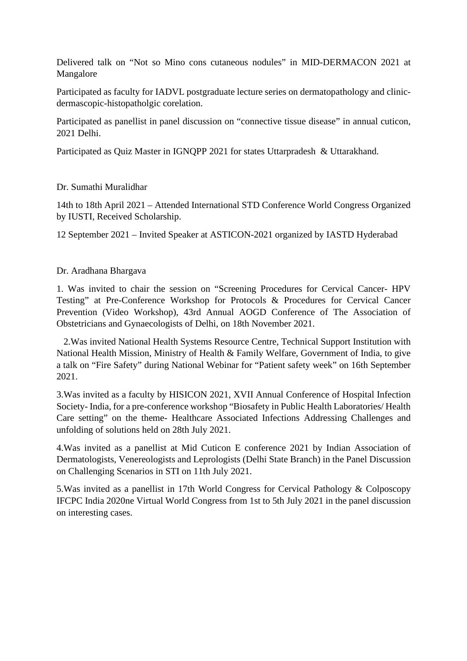Delivered talk on "Not so Mino cons cutaneous nodules" in MID-DERMACON 2021 at Mangalore

Participated as faculty for IADVL postgraduate lecture series on dermatopathology and clinicdermascopic-histopatholgic corelation.

Participated as panellist in panel discussion on "connective tissue disease" in annual cuticon, 2021 Delhi.

Participated as Quiz Master in IGNQPP 2021 for states Uttarpradesh & Uttarakhand.

### Dr. Sumathi Muralidhar

14th to 18th April 2021 – Attended International STD Conference World Congress Organized by IUSTI, Received Scholarship.

12 September 2021 – Invited Speaker at ASTICON-2021 organized by IASTD Hyderabad

#### Dr. Aradhana Bhargava

1. Was invited to chair the session on "Screening Procedures for Cervical Cancer- HPV Testing" at Pre-Conference Workshop for Protocols & Procedures for Cervical Cancer Prevention (Video Workshop), 43rd Annual AOGD Conference of The Association of Obstetricians and Gynaecologists of Delhi, on 18th November 2021.

2.Was invited National Health Systems Resource Centre, Technical Support Institution with National Health Mission, Ministry of Health & Family Welfare, Government of India, to give a talk on "Fire Safety" during National Webinar for "Patient safety week" on 16th September 2021.

3.Was invited as a faculty by HISICON 2021, XVII Annual Conference of Hospital Infection Society- India, for a pre-conference workshop "Biosafety in Public Health Laboratories/ Health Care setting" on the theme- Healthcare Associated Infections Addressing Challenges and unfolding of solutions held on 28th July 2021.

4.Was invited as a panellist at Mid Cuticon E conference 2021 by Indian Association of Dermatologists, Venereologists and Leprologists (Delhi State Branch) in the Panel Discussion on Challenging Scenarios in STI on 11th July 2021.

5.Was invited as a panellist in 17th World Congress for Cervical Pathology & Colposcopy IFCPC India 2020ne Virtual World Congress from 1st to 5th July 2021 in the panel discussion on interesting cases.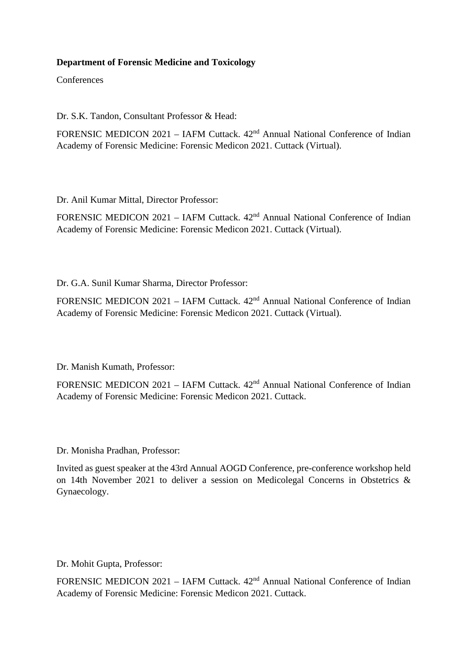# **Department of Forensic Medicine and Toxicology**

**Conferences** 

Dr. S.K. Tandon, Consultant Professor & Head:

FORENSIC MEDICON 2021 – IAFM Cuttack. 42nd Annual National Conference of Indian Academy of Forensic Medicine: Forensic Medicon 2021. Cuttack (Virtual).

Dr. Anil Kumar Mittal, Director Professor:

FORENSIC MEDICON 2021 – IAFM Cuttack. 42<sup>nd</sup> Annual National Conference of Indian Academy of Forensic Medicine: Forensic Medicon 2021. Cuttack (Virtual).

Dr. G.A. Sunil Kumar Sharma, Director Professor:

FORENSIC MEDICON 2021 – IAFM Cuttack. 42<sup>nd</sup> Annual National Conference of Indian Academy of Forensic Medicine: Forensic Medicon 2021. Cuttack (Virtual).

Dr. Manish Kumath, Professor:

FORENSIC MEDICON 2021 – IAFM Cuttack. 42<sup>nd</sup> Annual National Conference of Indian Academy of Forensic Medicine: Forensic Medicon 2021. Cuttack.

Dr. Monisha Pradhan, Professor:

Invited as guest speaker at the 43rd Annual AOGD Conference, pre-conference workshop held on 14th November 2021 to deliver a session on Medicolegal Concerns in Obstetrics & Gynaecology.

Dr. Mohit Gupta, Professor:

FORENSIC MEDICON 2021 – IAFM Cuttack. 42nd Annual National Conference of Indian Academy of Forensic Medicine: Forensic Medicon 2021. Cuttack.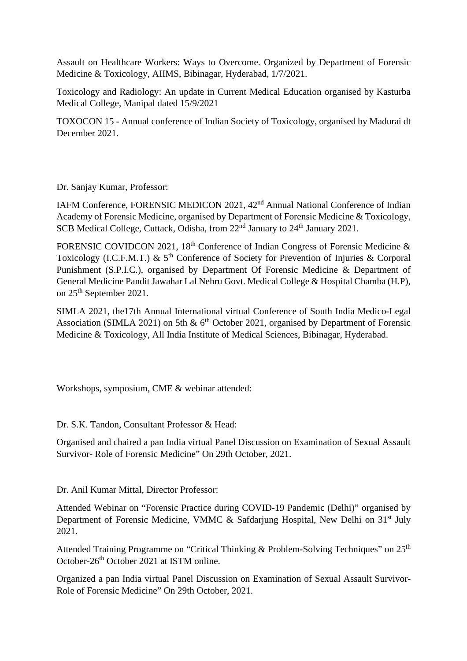Assault on Healthcare Workers: Ways to Overcome. Organized by Department of Forensic Medicine & Toxicology, AIIMS, Bibinagar, Hyderabad, 1/7/2021.

Toxicology and Radiology: An update in Current Medical Education organised by Kasturba Medical College, Manipal dated 15/9/2021

TOXOCON 15 - Annual conference of Indian Society of Toxicology, organised by Madurai dt December 2021.

Dr. Sanjay Kumar, Professor:

IAFM Conference, FORENSIC MEDICON 2021, 42nd Annual National Conference of Indian Academy of Forensic Medicine, organised by Department of Forensic Medicine & Toxicology, SCB Medical College, Cuttack, Odisha, from 22<sup>nd</sup> January to 24<sup>th</sup> January 2021.

FORENSIC COVIDCON 2021, 18<sup>th</sup> Conference of Indian Congress of Forensic Medicine  $\&$ Toxicology (I.C.F.M.T.)  $\&$  5<sup>th</sup> Conference of Society for Prevention of Injuries  $\&$  Corporal Punishment (S.P.I.C.), organised by Department Of Forensic Medicine & Department of General Medicine Pandit Jawahar Lal Nehru Govt. Medical College & Hospital Chamba (H.P), on 25th September 2021.

SIMLA 2021, the17th Annual International virtual Conference of South India Medico-Legal Association (SIMLA 2021) on 5th  $\&$  6<sup>th</sup> October 2021, organised by Department of Forensic Medicine & Toxicology, All India Institute of Medical Sciences, Bibinagar, Hyderabad.

Workshops, symposium, CME & webinar attended:

Dr. S.K. Tandon, Consultant Professor & Head:

Organised and chaired a pan India virtual Panel Discussion on Examination of Sexual Assault Survivor- Role of Forensic Medicine" On 29th October, 2021.

Dr. Anil Kumar Mittal, Director Professor:

Attended Webinar on "Forensic Practice during COVID-19 Pandemic (Delhi)" organised by Department of Forensic Medicine, VMMC  $\&$  Safdarjung Hospital, New Delhi on 31<sup>st</sup> July 2021.

Attended Training Programme on "Critical Thinking & Problem-Solving Techniques" on 25<sup>th</sup> October-26th October 2021 at ISTM online.

Organized a pan India virtual Panel Discussion on Examination of Sexual Assault Survivor-Role of Forensic Medicine" On 29th October, 2021.